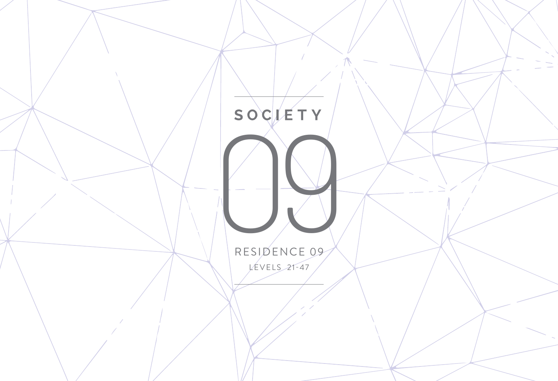